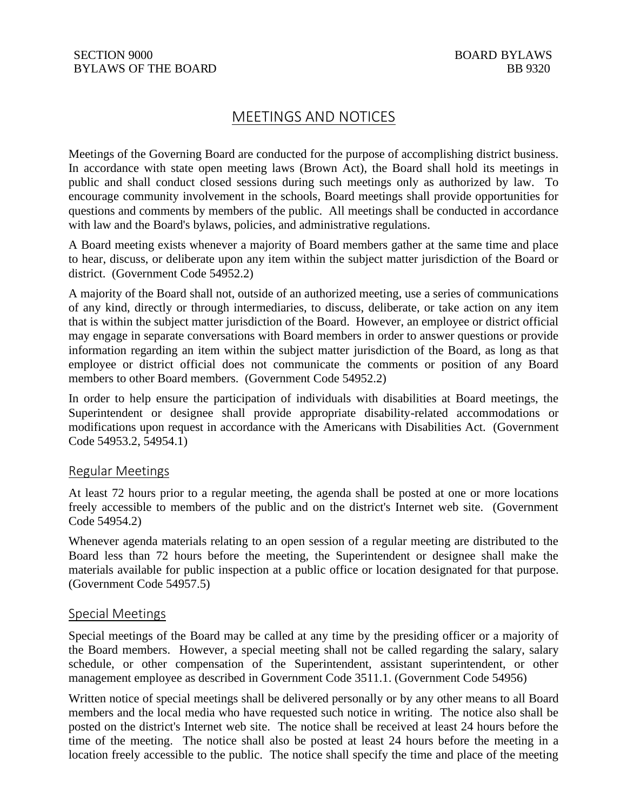# MEETINGS AND NOTICES

Meetings of the Governing Board are conducted for the purpose of accomplishing district business. In accordance with state open meeting laws (Brown Act), the Board shall hold its meetings in public and shall conduct closed sessions during such meetings only as authorized by law. To encourage community involvement in the schools, Board meetings shall provide opportunities for questions and comments by members of the public. All meetings shall be conducted in accordance with law and the Board's bylaws, policies, and administrative regulations.

A Board meeting exists whenever a majority of Board members gather at the same time and place to hear, discuss, or deliberate upon any item within the subject matter jurisdiction of the Board or district. (Government Code 54952.2)

A majority of the Board shall not, outside of an authorized meeting, use a series of communications of any kind, directly or through intermediaries, to discuss, deliberate, or take action on any item that is within the subject matter jurisdiction of the Board. However, an employee or district official may engage in separate conversations with Board members in order to answer questions or provide information regarding an item within the subject matter jurisdiction of the Board, as long as that employee or district official does not communicate the comments or position of any Board members to other Board members. (Government Code 54952.2)

In order to help ensure the participation of individuals with disabilities at Board meetings, the Superintendent or designee shall provide appropriate disability-related accommodations or modifications upon request in accordance with the Americans with Disabilities Act. (Government Code 54953.2, 54954.1)

# Regular Meetings

At least 72 hours prior to a regular meeting, the agenda shall be posted at one or more locations freely accessible to members of the public and on the district's Internet web site. (Government Code 54954.2)

Whenever agenda materials relating to an open session of a regular meeting are distributed to the Board less than 72 hours before the meeting, the Superintendent or designee shall make the materials available for public inspection at a public office or location designated for that purpose. (Government Code 54957.5)

# Special Meetings

Special meetings of the Board may be called at any time by the presiding officer or a majority of the Board members. However, a special meeting shall not be called regarding the salary, salary schedule, or other compensation of the Superintendent, assistant superintendent, or other management employee as described in Government Code 3511.1. (Government Code 54956)

Written notice of special meetings shall be delivered personally or by any other means to all Board members and the local media who have requested such notice in writing. The notice also shall be posted on the district's Internet web site. The notice shall be received at least 24 hours before the time of the meeting. The notice shall also be posted at least 24 hours before the meeting in a location freely accessible to the public. The notice shall specify the time and place of the meeting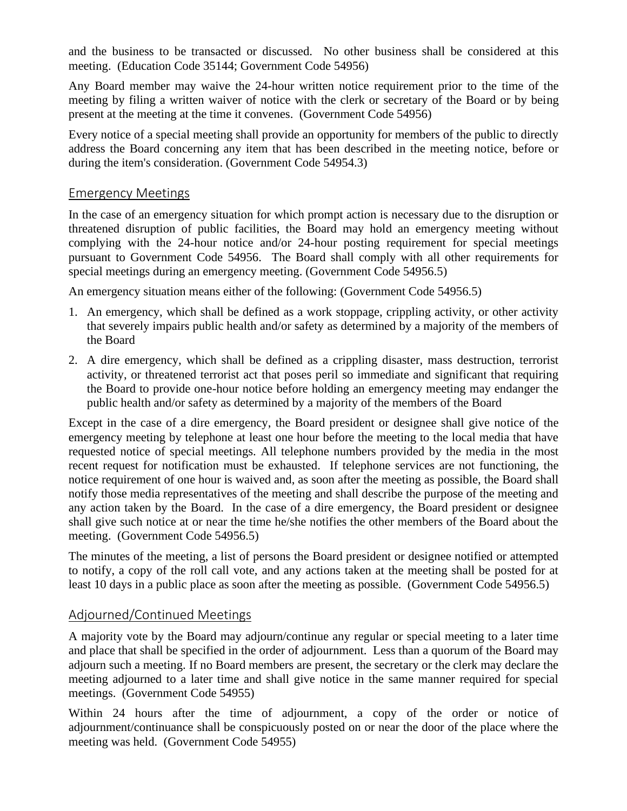and the business to be transacted or discussed. No other business shall be considered at this meeting. (Education Code 35144; Government Code 54956)

Any Board member may waive the 24-hour written notice requirement prior to the time of the meeting by filing a written waiver of notice with the clerk or secretary of the Board or by being present at the meeting at the time it convenes. (Government Code 54956)

Every notice of a special meeting shall provide an opportunity for members of the public to directly address the Board concerning any item that has been described in the meeting notice, before or during the item's consideration. (Government Code 54954.3)

## Emergency Meetings

In the case of an emergency situation for which prompt action is necessary due to the disruption or threatened disruption of public facilities, the Board may hold an emergency meeting without complying with the 24-hour notice and/or 24-hour posting requirement for special meetings pursuant to Government Code 54956. The Board shall comply with all other requirements for special meetings during an emergency meeting. (Government Code 54956.5)

An emergency situation means either of the following: (Government Code 54956.5)

- 1. An emergency, which shall be defined as a work stoppage, crippling activity, or other activity that severely impairs public health and/or safety as determined by a majority of the members of the Board
- 2. A dire emergency, which shall be defined as a crippling disaster, mass destruction, terrorist activity, or threatened terrorist act that poses peril so immediate and significant that requiring the Board to provide one-hour notice before holding an emergency meeting may endanger the public health and/or safety as determined by a majority of the members of the Board

Except in the case of a dire emergency, the Board president or designee shall give notice of the emergency meeting by telephone at least one hour before the meeting to the local media that have requested notice of special meetings. All telephone numbers provided by the media in the most recent request for notification must be exhausted. If telephone services are not functioning, the notice requirement of one hour is waived and, as soon after the meeting as possible, the Board shall notify those media representatives of the meeting and shall describe the purpose of the meeting and any action taken by the Board. In the case of a dire emergency, the Board president or designee shall give such notice at or near the time he/she notifies the other members of the Board about the meeting. (Government Code 54956.5)

The minutes of the meeting, a list of persons the Board president or designee notified or attempted to notify, a copy of the roll call vote, and any actions taken at the meeting shall be posted for at least 10 days in a public place as soon after the meeting as possible. (Government Code 54956.5)

# Adjourned/Continued Meetings

A majority vote by the Board may adjourn/continue any regular or special meeting to a later time and place that shall be specified in the order of adjournment. Less than a quorum of the Board may adjourn such a meeting. If no Board members are present, the secretary or the clerk may declare the meeting adjourned to a later time and shall give notice in the same manner required for special meetings. (Government Code 54955)

Within 24 hours after the time of adjournment, a copy of the order or notice of adjournment/continuance shall be conspicuously posted on or near the door of the place where the meeting was held. (Government Code 54955)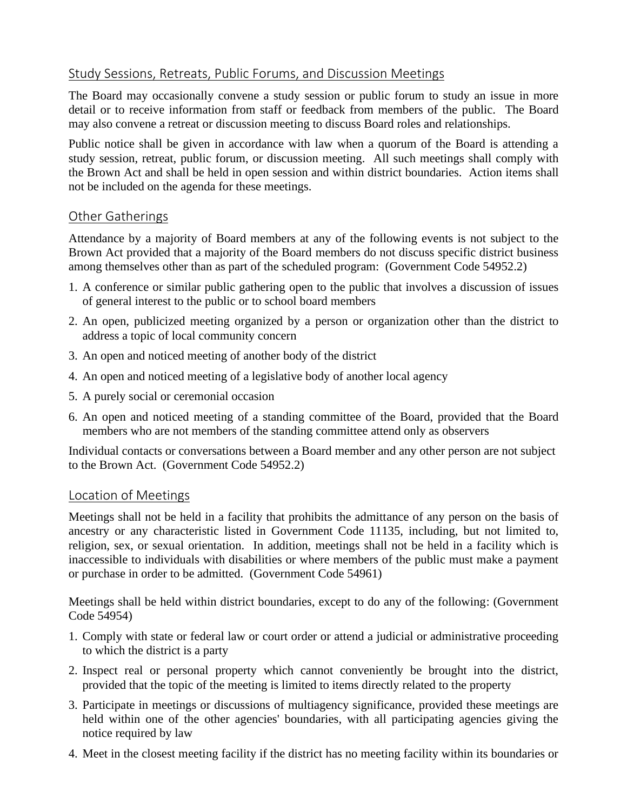# Study Sessions, Retreats, Public Forums, and Discussion Meetings

The Board may occasionally convene a study session or public forum to study an issue in more detail or to receive information from staff or feedback from members of the public. The Board may also convene a retreat or discussion meeting to discuss Board roles and relationships.

Public notice shall be given in accordance with law when a quorum of the Board is attending a study session, retreat, public forum, or discussion meeting. All such meetings shall comply with the Brown Act and shall be held in open session and within district boundaries. Action items shall not be included on the agenda for these meetings.

# Other Gatherings

Attendance by a majority of Board members at any of the following events is not subject to the Brown Act provided that a majority of the Board members do not discuss specific district business among themselves other than as part of the scheduled program: (Government Code 54952.2)

- 1. A conference or similar public gathering open to the public that involves a discussion of issues of general interest to the public or to school board members
- 2. An open, publicized meeting organized by a person or organization other than the district to address a topic of local community concern
- 3. An open and noticed meeting of another body of the district
- 4. An open and noticed meeting of a legislative body of another local agency
- 5. A purely social or ceremonial occasion
- 6. An open and noticed meeting of a standing committee of the Board, provided that the Board members who are not members of the standing committee attend only as observers

Individual contacts or conversations between a Board member and any other person are not subject to the Brown Act. (Government Code 54952.2)

### Location of Meetings

Meetings shall not be held in a facility that prohibits the admittance of any person on the basis of ancestry or any characteristic listed in Government Code 11135, including, but not limited to, religion, sex, or sexual orientation. In addition, meetings shall not be held in a facility which is inaccessible to individuals with disabilities or where members of the public must make a payment or purchase in order to be admitted. (Government Code 54961)

Meetings shall be held within district boundaries, except to do any of the following: (Government Code 54954)

- 1. Comply with state or federal law or court order or attend a judicial or administrative proceeding to which the district is a party
- 2. Inspect real or personal property which cannot conveniently be brought into the district, provided that the topic of the meeting is limited to items directly related to the property
- 3. Participate in meetings or discussions of multiagency significance, provided these meetings are held within one of the other agencies' boundaries, with all participating agencies giving the notice required by law
- 4. Meet in the closest meeting facility if the district has no meeting facility within its boundaries or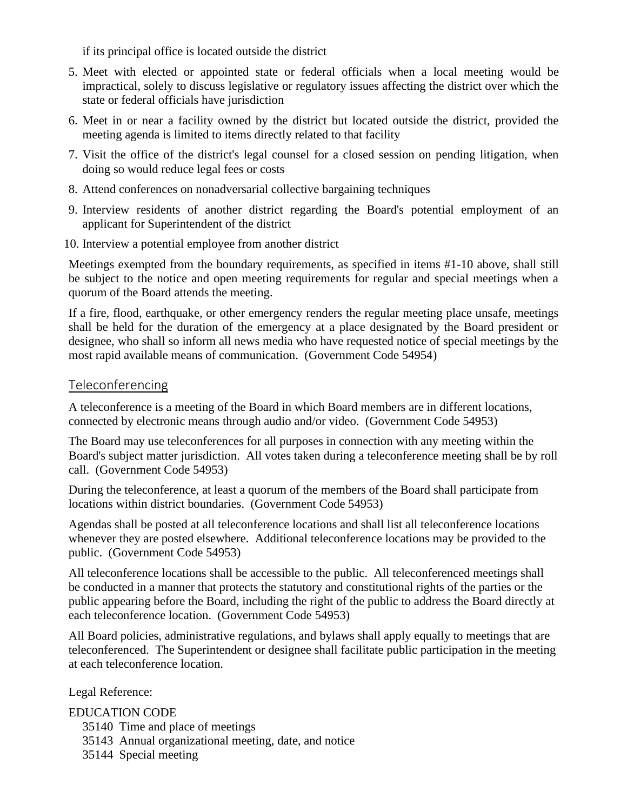if its principal office is located outside the district

- 5. Meet with elected or appointed state or federal officials when a local meeting would be impractical, solely to discuss legislative or regulatory issues affecting the district over which the state or federal officials have jurisdiction
- 6. Meet in or near a facility owned by the district but located outside the district, provided the meeting agenda is limited to items directly related to that facility
- 7. Visit the office of the district's legal counsel for a closed session on pending litigation, when doing so would reduce legal fees or costs
- 8. Attend conferences on nonadversarial collective bargaining techniques
- 9. Interview residents of another district regarding the Board's potential employment of an applicant for Superintendent of the district
- 10. Interview a potential employee from another district

Meetings exempted from the boundary requirements, as specified in items #1-10 above, shall still be subject to the notice and open meeting requirements for regular and special meetings when a quorum of the Board attends the meeting.

If a fire, flood, earthquake, or other emergency renders the regular meeting place unsafe, meetings shall be held for the duration of the emergency at a place designated by the Board president or designee, who shall so inform all news media who have requested notice of special meetings by the most rapid available means of communication. (Government Code 54954)

# Teleconferencing

A teleconference is a meeting of the Board in which Board members are in different locations, connected by electronic means through audio and/or video. (Government Code 54953)

The Board may use teleconferences for all purposes in connection with any meeting within the Board's subject matter jurisdiction. All votes taken during a teleconference meeting shall be by roll call. (Government Code 54953)

During the teleconference, at least a quorum of the members of the Board shall participate from locations within district boundaries. (Government Code 54953)

Agendas shall be posted at all teleconference locations and shall list all teleconference locations whenever they are posted elsewhere. Additional teleconference locations may be provided to the public. (Government Code 54953)

All teleconference locations shall be accessible to the public. All teleconferenced meetings shall be conducted in a manner that protects the statutory and constitutional rights of the parties or the public appearing before the Board, including the right of the public to address the Board directly at each teleconference location. (Government Code 54953)

All Board policies, administrative regulations, and bylaws shall apply equally to meetings that are teleconferenced. The Superintendent or designee shall facilitate public participation in the meeting at each teleconference location.

Legal Reference:

EDUCATION CODE

- 35140 Time and place of meetings
- 35143 Annual organizational meeting, date, and notice
- 35144 Special meeting